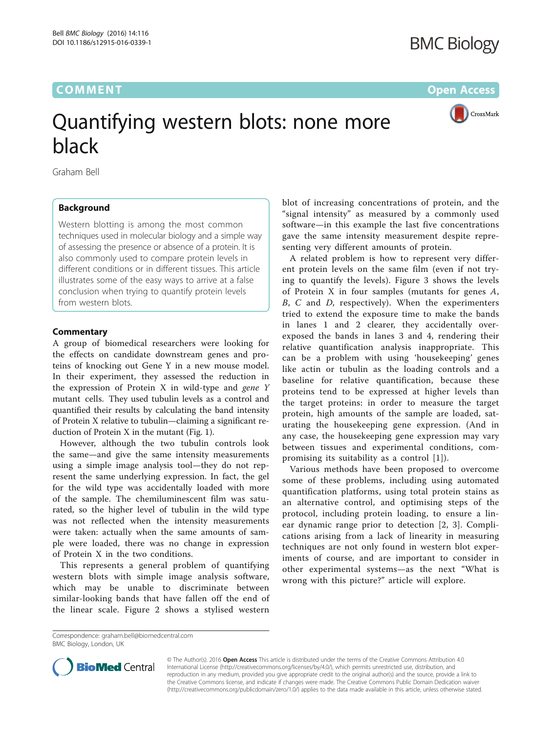## **COMMENT COMMENT COMMENT COMMENT**



# Quantifying western blots: none more

black Graham Bell

### Background

Western blotting is among the most common techniques used in molecular biology and a simple way of assessing the presence or absence of a protein. It is also commonly used to compare protein levels in different conditions or in different tissues. This article illustrates some of the easy ways to arrive at a false conclusion when trying to quantify protein levels from western blots.

#### **Commentary**

A group of biomedical researchers were looking for the effects on candidate downstream genes and proteins of knocking out Gene Y in a new mouse model. In their experiment, they assessed the reduction in the expression of Protein X in wild-type and gene Y mutant cells. They used tubulin levels as a control and quantified their results by calculating the band intensity of Protein X relative to tubulin—claiming a significant reduction of Protein X in the mutant (Fig. [1](#page-1-0)).

However, although the two tubulin controls look the same—and give the same intensity measurements using a simple image analysis tool—they do not represent the same underlying expression. In fact, the gel for the wild type was accidentally loaded with more of the sample. The chemiluminescent film was saturated, so the higher level of tubulin in the wild type was not reflected when the intensity measurements were taken: actually when the same amounts of sample were loaded, there was no change in expression of Protein X in the two conditions.

This represents a general problem of quantifying western blots with simple image analysis software, which may be unable to discriminate between similar-looking bands that have fallen off the end of the linear scale. Figure [2](#page-1-0) shows a stylised western blot of increasing concentrations of protein, and the "signal intensity" as measured by a commonly used software—in this example the last five concentrations gave the same intensity measurement despite representing very different amounts of protein.

A related problem is how to represent very different protein levels on the same film (even if not trying to quantify the levels). Figure [3](#page-1-0) shows the levels of Protein X in four samples (mutants for genes A, B, C and D, respectively). When the experimenters tried to extend the exposure time to make the bands in lanes 1 and 2 clearer, they accidentally overexposed the bands in lanes 3 and 4, rendering their relative quantification analysis inappropriate. This can be a problem with using 'housekeeping' genes like actin or tubulin as the loading controls and a baseline for relative quantification, because these proteins tend to be expressed at higher levels than the target proteins: in order to measure the target protein, high amounts of the sample are loaded, saturating the housekeeping gene expression. (And in any case, the housekeeping gene expression may vary between tissues and experimental conditions, compromising its suitability as a control [\[1](#page-2-0)]).

Various methods have been proposed to overcome some of these problems, including using automated quantification platforms, using total protein stains as an alternative control, and optimising steps of the protocol, including protein loading, to ensure a linear dynamic range prior to detection [[2, 3](#page-2-0)]. Complications arising from a lack of linearity in measuring techniques are not only found in western blot experiments of course, and are important to consider in other experimental systems—as the next "What is wrong with this picture?" article will explore.

Correspondence: [graham.bell@biomedcentral.com](mailto:graham.bell@biomedcentral.com) BMC Biology, London, UK



© The Author(s). 2016 Open Access This article is distributed under the terms of the Creative Commons Attribution 4.0 International License [\(http://creativecommons.org/licenses/by/4.0/](http://creativecommons.org/licenses/by/4.0/)), which permits unrestricted use, distribution, and reproduction in any medium, provided you give appropriate credit to the original author(s) and the source, provide a link to the Creative Commons license, and indicate if changes were made. The Creative Commons Public Domain Dedication waiver [\(http://creativecommons.org/publicdomain/zero/1.0/](http://creativecommons.org/publicdomain/zero/1.0/)) applies to the data made available in this article, unless otherwise stated.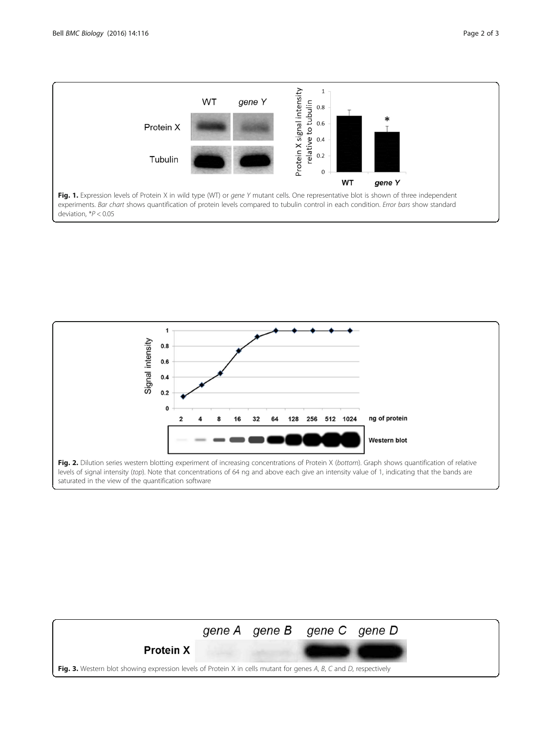<span id="page-1-0"></span>



levels of signal intensity (top). Note that concentrations of 64 ng and above each give an intensity value of 1, indicating that the bands are saturated in the view of the quantification software

|                                                                                                                   |  | gene A gene B gene C gene D |  |
|-------------------------------------------------------------------------------------------------------------------|--|-----------------------------|--|
| <b>Protein X</b>                                                                                                  |  |                             |  |
| Fig. 3. Western blot showing expression levels of Protein X in cells mutant for genes A, B, C and D, respectively |  |                             |  |